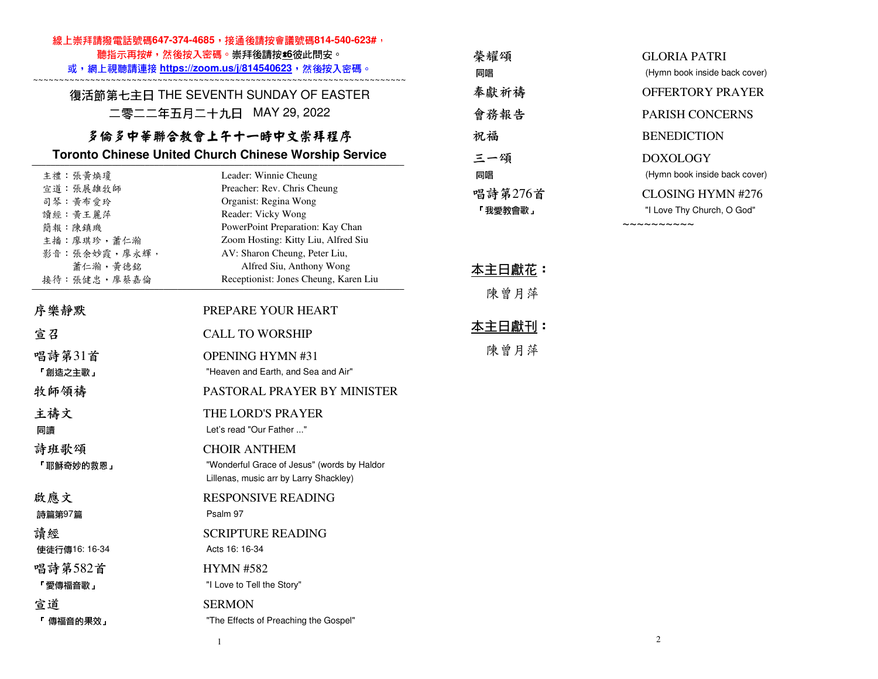#### 線上崇拜請撥電話號碼647-374-4685,接通後請按會議號碼814-540-623#,

聽指示再按#,然後按入密碼。崇拜後請按**±6**彼此問安。

 或,網上視聽請連接 **https://zoom.us/j/814540623**,然後按入密碼。 ~~~~~~~~~~~~~~~~~~~~~~~~~~~~~~~~~~~~~~~~~~~~~~~~~~~~~~~~~~~~~~~~~~~~~~~~

復活節第七主日 THE SEVENTH SUNDAY OF EASTER 二零二二年五月二十九日 MAY 29, 2022

# 多倫多中華聯合教會上午十一時中文崇拜程序

#### **Toronto Chinese United Church Chinese Worship Service**

| 主禮 : 張黃煥瓊    | Leader: Winnie Cheung                       |
|--------------|---------------------------------------------|
| 宣道:張展雄牧師     | Preacher: Rev. Chris Cheung                 |
| 司琴 黄布愛玲      | Organist: Regina Wong                       |
| 讀經 黃王麗萍      | Reader: Vicky Wong                          |
| 簡報 陳鎮璣       | PowerPoint Preparation: Kay Chan            |
| 主播:廖琪珍,蕭仁瀚   | Zoom Hosting: Kitty Liu, Alfred Siu         |
| 影音:張余妙霞,廖永輝, | AV: Sharon Cheung, Peter Liu,               |
| 蕭仁瀚,黃德銘      | Alfred Siu, Anthony Wong                    |
| 接待:張健忠,廖蔡嘉倫  | Receptionist: Jones Cheung, Karen Liu       |
| 序樂靜默         | PREPARE YOUR HEART                          |
| 宣召           | <b>CALL TO WORSHIP</b>                      |
| 唱詩第31首       | <b>OPENING HYMN#31</b>                      |
| 「創造之主歌」      | "Heaven and Earth, and Sea and Air"         |
| 牧師領禱         | <b>PASTORAL PRAYER BY MINISTER</b>          |
| 主禱文          | THE LORD'S PRAYER                           |
| 同讀           | Let's read "Our Father "                    |
| 詩班歌頌         | <b>CHOIR ANTHEM</b>                         |
| 「耶穌奇妙的救恩」    | "Wonderful Grace of Jesus" (words by Haldor |
|              | Lillenas, music arr by Larry Shackley)      |
|              |                                             |
| 啟應文          | <b>RESPONSIVE READING</b>                   |
| 詩篇第97篇       | Psalm 97                                    |
| 請經           | <b>SCRIPTURE READING</b>                    |
| 使徒行傳16:16-34 | Acts 16: 16-34                              |
| 唱詩第582首      | <b>HYMN #582</b>                            |
| 「愛傳福音歌」      | "I Love to Tell the Story"                  |
| 宣道           | <b>SERMON</b>                               |
| 「 傳福音的果效 」   | "The Effects of Preaching the Gospel"       |

| 榮耀頌     | GLORIA PATRI                  |
|---------|-------------------------------|
| 同唱      | (Hymn book inside back cover) |
| 奉獻祈禱    | OFFERTORY PRAYER              |
| 會務報告    | <b>PARISH CONCERNS</b>        |
| 祝福      | <b>BENEDICTION</b>            |
| 三一頌     | DOXOLOGY                      |
| 同唱      | (Hymn book inside back cover) |
| 唱詩第276首 | CLOSING HYMN #276             |
| 「我愛教會歌」 | "I Love Thy Church, O God"    |
|         |                               |

### 本主日獻花:

陳曾月萍

# 本主日獻刊:

陳曾月萍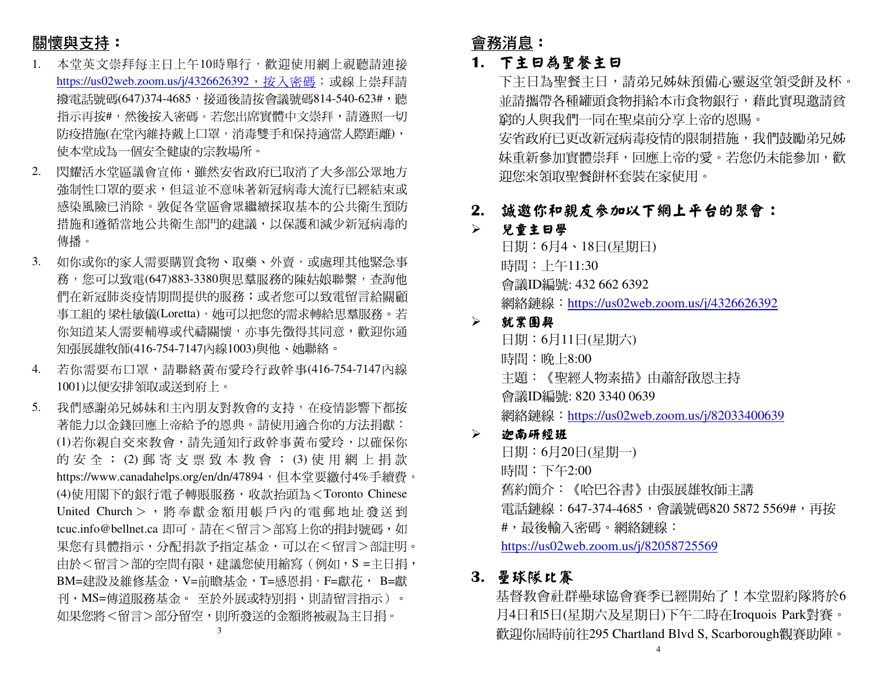# 關懷與支持:

- 1. 本堂英文崇拜每主日上午10時舉行,歡迎使用網上視聽請連接<u>https://us02web.zoom.us/j/4326626392,按入密碼</u>;或線上崇拜請 撥電話號碼(647)374-4685,接通後請按會議號碼814-540-623#,聽 指示再按#,然後按入密碼。若您出席實體中文崇拜,請遵照一切 防疫措施(在堂內維持戴上口罩,消毒雙手和保持適當人際距離), 使本堂成為一個安全健康的宗教場所。
- 2. 閃耀活水堂區議會宣佈,雖然安省政府已取消了大多部公眾地方強制性口罩的要求,但這並不意味著新冠病毒大流行已經結束或 感染風險已消除。敦促各堂區會眾繼續採取基本的公共衛生預防措施和遵循當地公共衛生部門的建議,以保護和減少新冠病毒的 傳播。
- 3. 如你或你的家人需要購買食物、取藥、外賣,或處理其他緊急事 務,您可以致電(647)883-3380與思羣服務的陳姑娘聯繫,查詢他 們在新冠肺炎疫情期間提供的服務;或者您可以致電留言給關顧 事工組的 梁杜敏儀(Loretta),她可以把您的需求轉給思羣服務。若<br>你知道节!震眾转道式伐清盟魔,太惠先覺得共同亲,數如始泽 你知道某人需要輔導或代禱關懷,亦事先徵得其同意,歡迎你通知張展雄牧師(416-754-7147內線1003)與他、她聯絡。
- 4. 若你需要布口罩,請聯絡黃布愛玲行政幹事(416-754-7147內線1001)以便安排領取或送到府上。
- 5. 我們感謝弟兄姊妹和主內朋友對教會的支持,在疫情影響下都按 著能力以金錢回應上帝給予的恩典。請使用適合你的方法捐獻: (1)若你親自交來教會,請先通知行政幹事黃布愛玲,以確保你 的 安 全 ; (2) 郵 寄 支 票 致 本 教 會 ; (3) 使 用 網 上 捐 款<br>http://www.co.edu.dec.co/co/co/d=47904,但大学要继与4%丢绩费 https://www.canadahelps.org/en/dn/47894,但本堂要繳付4%手續費。 (4)使用閣下的銀行電子轉賬服務,收款抬頭為<Toronto Chinese United Church > ,將奉獻金額用帳戶內的電郵地址發送到<br>tree info@hellacters 即可,書方不留言、認宜し始始担持嘴西面 tcuc.info@bellnet.ca 即可。請在<留言>部寫上你的捐封號碼,如 果您有具體指示,分配捐款予指定基金,可以在<留言>部註明。由於<留言>部的空間有限,建議您使用縮寫(例如,S =主日捐, BM=建設及維修基金,V=前瞻基金,T=感恩捐,F=獻花, B=獻刊,MS=傳道服務基金。 至於外展或特別捐,則請留言指示)。<br>加思你咚ィ留言、双八留空,則印発送的人智咚被泪为之只坦。 如果您將<留言>部分留空,則所發送的金額將被視為主日捐。

# 會務消息:

### **1.** 下主日為聖餐主日

 下主日為聖餐主日,請弟兄姊妹預備心靈返堂領受餅及杯。 並請攜帶各種罐頭食物捐給本市食物銀行,藉此實現邀請貧窮的人與我們一同在聖桌前分享上帝的恩賜。安省政府已更改新冠病毒疫情的限制措施,我們鼓勵弟兄姊 妹重新參加實體崇拜,回應上帝的愛。若您仍未能參加,歡 迎您來領取聖餐餅杯套裝在家使用。

## **2.** 誠邀你和親友參加以下網上平台的聚會:

#### $\blacktriangleright$ 兒童主日學

日期:6月4、18日(星期日) 時間:上午11:30 會議ID編號: 432 662 6392 網絡鏈線:https://us02web.zoom.us/j/4326626392

#### $\blacktriangleright$ 就業團契

日期:6月11日(星期六) 時間:晚上8:00 主題:《聖經人物素描》由蕭舒啟恩主持會議ID編號: 820 3340 0639 網絡鏈線:https://us02web.zoom.us/j/82033400639

#### ➤ 迦南研經班

日期:6月20日(星期一) 時間:下午2:00 舊約簡介:《哈巴谷書》由張展雄牧師主講電話鏈線:647-374-4685,會議號碼820 5872 5569#,再按 #,最後輸入密碼。網絡鏈線:https://us02web.zoom.us/j/82058725569

### **3.** 壘球隊比賽

 基督教會社群壘球協會賽季已經開始了!本堂盟約隊將於6 月4日和5日(星期六及星期日)下午二時在Iroquois Park對賽。歡迎你屆時前往295 Chartland Blvd S, Scarborough觀賽助陣。